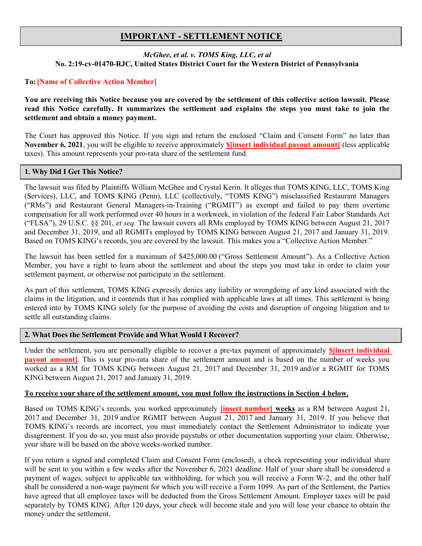# IMPORTANT - SETTLEMENT NOTICE

## McGhee, et al. v. TOMS King, LLC, et al No. 2:19-cv-01470-RJC, United States District Court for the Western District of Pennsylvania

# To:[Name of Collective Action Member]

You are receiving this Notice because you are covered by the settlement of this collective action lawsuit. Please read this Notice carefully. It summarizes the settlement and explains the steps you must take to join the settlement and obtain a money payment.

The Court has approved this Notice. If you sign and return the enclosed "Claim and Consent Form" no later than November 6, 2021, you will be eligible to receive approximately \$[insert individual payout amount] (less applicable taxes). This amount represents your pro-rata share of the settlement fund.

## 1. Why Did I Get This Notice?

The lawsuit was filed by Plaintiffs William McGhee and Crystal Kerin. It alleges that TOMS KING, LLC, TOMS King (Services), LLC, and TOMS KING (Penn), LLC (collectively, "TOMS KING") misclassified Restaurant Managers ("RMs") and Restaurant General Managers-in-Training ("RGMIT") as exempt and failed to pay them overtime compensation for all work performed over 40 hours in a workweek, in violation of the federal Fair Labor Standards Act ("FLSA"), 29 U.S.C. §§ 201, et seq. The lawsuit covers all RMs employed by TOMS KING between August 21, 2017 and December 31, 2019, and all RGMITs employed by TOMS KING between August 21, 2017 and January 31, 2019. Based on TOMS KING's records, you are covered by the lawsuit. This makes you a "Collective Action Member."

The lawsuit has been settled for a maximum of \$425,000.00 ("Gross Settlement Amount"). As a Collective Action Member, you have a right to learn about the settlement and about the steps you must take in order to claim your settlement payment, or otherwise not participate in the settlement.

As part of this settlement, TOMS KING expressly denies any liability or wrongdoing of any kind associated with the claims in the litigation, and it contends that it has complied with applicable laws at all times. This settlement is being entered into by TOMS KING solely for the purpose of avoiding the costs and disruption of ongoing litigation and to settle all outstanding claims.

# 2. What Does the Settlement Provide and What Would I Recover?

Under the settlement, you are personally eligible to recover a pre-tax payment of approximately **\$**[insert individual] **payout amount**. This is your pro-rata share of the settlement amount and is based on the number of weeks you worked as a RM for TOMS KING between August 21, 2017 and December 31, 2019 and/or a RGMIT for TOMS KING between August 21, 2017 and January 31, 2019.

## To receive your share of the settlement amount, you must follow the instructions in Section 4 below.

Based on TOMS KING's records, you worked approximately *[insert number]* weeks as a RM between August 21, 2017 and December 31, 2019 and/or RGMIT between August 21, 2017 and January 31, 2019. If you believe that TOMS KING's records are incorrect, you must immediately contact the Settlement Administrator to indicate your disagreement. If you do so, you must also provide paystubs or other documentation supporting your claim. Otherwise, your share will be based on the above weeks-worked number.

If you return a signed and completed Claim and Consent Form (enclosed), a check representing your individual share will be sent to you within a few weeks after the November 6, 2021 deadline. Half of your share shall be considered a payment of wages, subject to applicable tax withholding, for which you will receive a Form W-2, and the other half shall be considered a non-wage payment for which you will receive a Form 1099. As part of the Settlement, the Parties have agreed that all employee taxes will be deducted from the Gross Settlement Amount. Employer taxes will be paid separately by TOMS KING. After 120 days, your check will become stale and you will lose your chance to obtain the money under the settlement.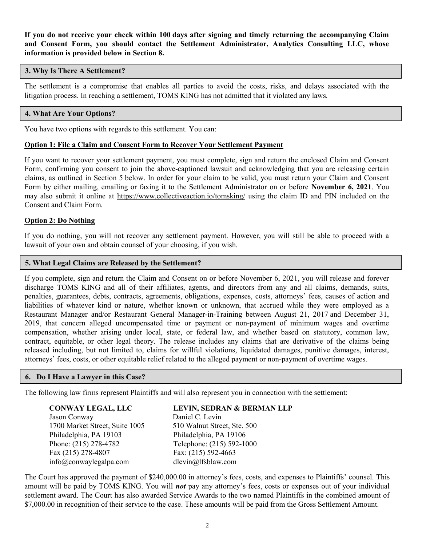If you do not receive your check within 100 days after signing and timely returning the accompanying Claim and Consent Form, you should contact the Settlement Administrator, Analytics Consulting LLC, whose information is provided below in Section 8.

## 3. Why Is There A Settlement?

The settlement is a compromise that enables all parties to avoid the costs, risks, and delays associated with the litigation process. In reaching a settlement, TOMS KING has not admitted that it violated any laws.

## 4. What Are Your Options?

You have two options with regards to this settlement. You can:

### Option 1: File a Claim and Consent Form to Recover Your Settlement Payment

If you want to recover your settlement payment, you must complete, sign and return the enclosed Claim and Consent Form, confirming you consent to join the above-captioned lawsuit and acknowledging that you are releasing certain claims, as outlined in Section 5 below. In order for your claim to be valid, you must return your Claim and Consent Form by either mailing, emailing or faxing it to the Settlement Administrator on or before November 6, 2021. You may also submit it online at https://www.collectiveaction.io/tomsking/ using the claim ID and PIN included on the Consent and Claim Form.

#### Option 2: Do Nothing

If you do nothing, you will not recover any settlement payment. However, you will still be able to proceed with a lawsuit of your own and obtain counsel of your choosing, if you wish.

#### 5. What Legal Claims are Released by the Settlement?

If you complete, sign and return the Claim and Consent on or before November 6, 2021, you will release and forever discharge TOMS KING and all of their affiliates, agents, and directors from any and all claims, demands, suits, penalties, guarantees, debts, contracts, agreements, obligations, expenses, costs, attorneys' fees, causes of action and liabilities of whatever kind or nature, whether known or unknown, that accrued while they were employed as a Restaurant Manager and/or Restaurant General Manager-in-Training between August 21, 2017 and December 31, 2019, that concern alleged uncompensated time or payment or non-payment of minimum wages and overtime compensation, whether arising under local, state, or federal law, and whether based on statutory, common law, contract, equitable, or other legal theory. The release includes any claims that are derivative of the claims being released including, but not limited to, claims for willful violations, liquidated damages, punitive damages, interest, attorneys' fees, costs, or other equitable relief related to the alleged payment or non-payment of overtime wages.

## 6. Do I Have a Lawyer in this Case?

The following law firms represent Plaintiffs and will also represent you in connection with the settlement:

Jason Conway **Daniel C. Levin**<br>1700 Market Street. Suite 1005 510 Walnut Street. Ste. 500 1700 Market Street, Suite 1005 Philadelphia, PA 19103 Philadelphia, PA 19106 Phone: (215) 278-4782 Telephone: (215) 592-1000 Fax: (215) 278-4807 Fax: (215) 592-4663 info@conwaylegalpa.com dlevin@lfsblaw.com

#### CONWAY LEGAL, LLC LEVIN, SEDRAN & BERMAN LLP

The Court has approved the payment of \$240,000.00 in attorney's fees, costs, and expenses to Plaintiffs' counsel. This amount will be paid by TOMS KING. You will *not* pay any attorney's fees, costs or expenses out of your individual settlement award. The Court has also awarded Service Awards to the two named Plaintiffs in the combined amount of \$7,000.00 in recognition of their service to the case. These amounts will be paid from the Gross Settlement Amount.